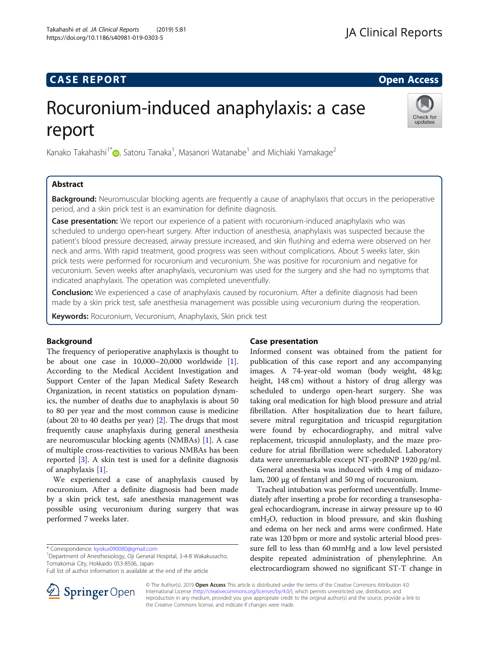# **CASE REPORT And SERVICE SERVICE SERVICE SERVICE SERVICE SERVICE SERVICE SERVICE SERVICE SERVICE SERVICE SERVICE**

# Rocuronium-induced anaphylaxis: a case report



Kanako Takahashi $^{1^\ast}$ D[,](http://orcid.org/0000-0001-8945-2713) Satoru Tanaka $^1$ , Masanori Watanabe $^1$  and Michiaki Yamakage $^2$ 

# Abstract

**Background:** Neuromuscular blocking agents are frequently a cause of anaphylaxis that occurs in the perioperative period, and a skin prick test is an examination for definite diagnosis.

Case presentation: We report our experience of a patient with rocuronium-induced anaphylaxis who was scheduled to undergo open-heart surgery. After induction of anesthesia, anaphylaxis was suspected because the patient's blood pressure decreased, airway pressure increased, and skin flushing and edema were observed on her neck and arms. With rapid treatment, good progress was seen without complications. About 5 weeks later, skin prick tests were performed for rocuronium and vecuronium. She was positive for rocuronium and negative for vecuronium. Seven weeks after anaphylaxis, vecuronium was used for the surgery and she had no symptoms that indicated anaphylaxis. The operation was completed uneventfully.

**Conclusion:** We experienced a case of anaphylaxis caused by rocuronium. After a definite diagnosis had been made by a skin prick test, safe anesthesia management was possible using vecuronium during the reoperation.

Keywords: Rocuronium, Vecuronium, Anaphylaxis, Skin prick test

# Background

The frequency of perioperative anaphylaxis is thought to be about one case in 10,000–20,000 worldwide [\[1](#page-2-0)]. According to the Medical Accident Investigation and Support Center of the Japan Medical Safety Research Organization, in recent statistics on population dynamics, the number of deaths due to anaphylaxis is about 50 to 80 per year and the most common cause is medicine (about 20 to 40 deaths per year) [[2\]](#page-2-0). The drugs that most frequently cause anaphylaxis during general anesthesia are neuromuscular blocking agents (NMBAs) [[1\]](#page-2-0). A case of multiple cross-reactivities to various NMBAs has been reported [[3](#page-2-0)]. A skin test is used for a definite diagnosis of anaphylaxis [[1\]](#page-2-0).

We experienced a case of anaphylaxis caused by rocuronium. After a definite diagnosis had been made by a skin prick test, safe anesthesia management was possible using vecuronium during surgery that was performed 7 weeks later.

<sup>1</sup>Department of Anesthesiology, Oji General Hospital, 3-4-8 Wakakusacho, Tomakomai City, Hokkaido 053-8506, Japan

# Case presentation

Informed consent was obtained from the patient for publication of this case report and any accompanying images. A 74-year-old woman (body weight, 48 kg; height, 148 cm) without a history of drug allergy was scheduled to undergo open-heart surgery. She was taking oral medication for high blood pressure and atrial fibrillation. After hospitalization due to heart failure, severe mitral regurgitation and tricuspid regurgitation were found by echocardiography, and mitral valve replacement, tricuspid annuloplasty, and the maze procedure for atrial fibrillation were scheduled. Laboratory data were unremarkable except NT-proBNP 1920 pg/ml.

General anesthesia was induced with 4 mg of midazolam, 200 μg of fentanyl and 50 mg of rocuronium.

Tracheal intubation was performed uneventfully. Immediately after inserting a probe for recording a transesophageal echocardiogram, increase in airway pressure up to 40  $cmH<sub>2</sub>O$ , reduction in blood pressure, and skin flushing and edema on her neck and arms were confirmed. Hate rate was 120 bpm or more and systolic arterial blood pressure fell to less than 60 mmHg and a low level persisted despite repeated administration of phenylephrine. An electrocardiogram showed no significant ST-T change in



© The Author(s). 2019 Open Access This article is distributed under the terms of the Creative Commons Attribution 4.0 International License ([http://creativecommons.org/licenses/by/4.0/\)](http://creativecommons.org/licenses/by/4.0/), which permits unrestricted use, distribution, and reproduction in any medium, provided you give appropriate credit to the original author(s) and the source, provide a link to the Creative Commons license, and indicate if changes were made.

<sup>\*</sup> Correspondence: [kyokui090080@gmail.com](mailto:kyokui090080@gmail.com) <sup>1</sup>

Full list of author information is available at the end of the article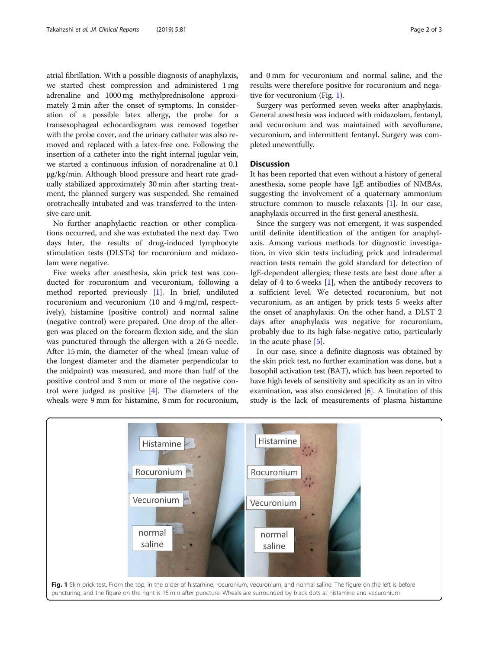atrial fibrillation. With a possible diagnosis of anaphylaxis, we started chest compression and administered 1 mg adrenaline and 1000 mg methylprednisolone approximately 2 min after the onset of symptoms. In consideration of a possible latex allergy, the probe for a transesophageal echocardiogram was removed together with the probe cover, and the urinary catheter was also removed and replaced with a latex-free one. Following the insertion of a catheter into the right internal jugular vein, we started a continuous infusion of noradrenaline at 0.1 μg/kg/min. Although blood pressure and heart rate gradually stabilized approximately 30 min after starting treatment, the planned surgery was suspended. She remained orotracheally intubated and was transferred to the intensive care unit.

No further anaphylactic reaction or other complications occurred, and she was extubated the next day. Two days later, the results of drug-induced lymphocyte stimulation tests (DLSTs) for rocuronium and midazolam were negative.

Five weeks after anesthesia, skin prick test was conducted for rocuronium and vecuronium, following a method reported previously [[1\]](#page-2-0). In brief, undiluted rocuronium and vecuronium (10 and 4 mg/ml, respectively), histamine (positive control) and normal saline (negative control) were prepared. One drop of the allergen was placed on the forearm flexion side, and the skin was punctured through the allergen with a 26 G needle. After 15 min, the diameter of the wheal (mean value of the longest diameter and the diameter perpendicular to the midpoint) was measured, and more than half of the positive control and 3 mm or more of the negative control were judged as positive [\[4](#page-2-0)]. The diameters of the wheals were 9 mm for histamine, 8 mm for rocuronium,

and 0 mm for vecuronium and normal saline, and the results were therefore positive for rocuronium and negative for vecuronium (Fig. 1).

Surgery was performed seven weeks after anaphylaxis. General anesthesia was induced with midazolam, fentanyl, and vecuronium and was maintained with sevoflurane, vecuronium, and intermittent fentanyl. Surgery was completed uneventfully.

# **Discussion**

It has been reported that even without a history of general anesthesia, some people have IgE antibodies of NMBAs, suggesting the involvement of a quaternary ammonium structure common to muscle relaxants [\[1\]](#page-2-0). In our case, anaphylaxis occurred in the first general anesthesia.

Since the surgery was not emergent, it was suspended until definite identification of the antigen for anaphylaxis. Among various methods for diagnostic investigation, in vivo skin tests including prick and intradermal reaction tests remain the gold standard for detection of IgE-dependent allergies; these tests are best done after a delay of 4 to 6 weeks  $[1]$  $[1]$  $[1]$ , when the antibody recovers to a sufficient level. We detected rocuronium, but not vecuronium, as an antigen by prick tests 5 weeks after the onset of anaphylaxis. On the other hand, a DLST 2 days after anaphylaxis was negative for rocuronium, probably due to its high false-negative ratio, particularly in the acute phase [\[5](#page-2-0)].

In our case, since a definite diagnosis was obtained by the skin prick test, no further examination was done, but a basophil activation test (BAT), which has been reported to have high levels of sensitivity and specificity as an in vitro examination, was also considered [[6\]](#page-2-0). A limitation of this study is the lack of measurements of plasma histamine